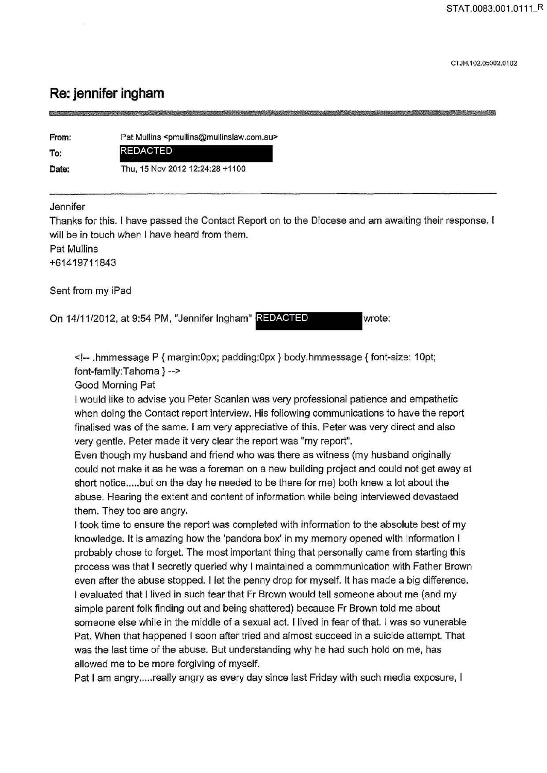CTJH.102.05002.0102

## **Re: jennifer ingham**

**From:** Pat Mullins <pmullins@mullinslaw.com.au> **To:** REDACTED

., **Mt W4iiii?'#EM&B!i¥¥&W#Mtt' 1** *&WM•'* ;g& **§iM'fWM51&AtM&1tH Qi !B** 

Date: Thu, 15 Nov 2012 12:24:28 +1100

Jennifer

Thanks for this. I have passed the Contact Report on to the Diocese and am awaiting their response. I will be in touch when I have heard from them.

Pat Mullins

+61419711843

Sent from my iPad

On 14/11/2012, at 9:54 PM, "Jennifer Ingham" REDACTED wrote:

<!-- .hmmessage P { margin:Opx; padding:Opx} body.hmmessage {font-size: 1 Opt;

font-family:Tahoma} -->

Good Morning Pat

I would like to advise you Peter Scanlan was very professional patience and empathetic when doing the Contact report interview. His following communications to have the report finalised was of the same. I am very appreciative of this. Peter was very direct and also very gentle. Peter made it very clear the report was "my report".

Even though my husband and friend who was there as witness (my husband originally could not make it as he was a foreman on a new building project and could not get away at short notice ..... but on the day he needed to be there for me) both knew a lot about the abuse. Hearing the extent and content of information while being interviewed devastaed them. They too are angry.

I took time to ensure the report was completed with information to the absolute best of my knowledge. It is amazing how the 'pandora box' in my memory opened with information I probably chose to forget. The most important thing that personally came from starting this process was that I secretly queried why I maintained a commmunication with Father Brown even after the abuse stopped. I let the penny drop for myself. It has made a big difference. I evaluated that I lived in such fear that Fr Brown would tell someone about me (and my simple parent folk finding out and being shattered) because Fr Brown told me about someone else while in the middle of a sexual act. I lived in fear of that. I was so vunerable Pat. When that happened I soon after tried and almost succeed in a suicide attempt. That was the last time of the abuse. But understanding why he had such hold on me, has allowed me to be more forgiving of myself.

Pat I am angry ..... really angry as every day since last Friday with such media exposure, I